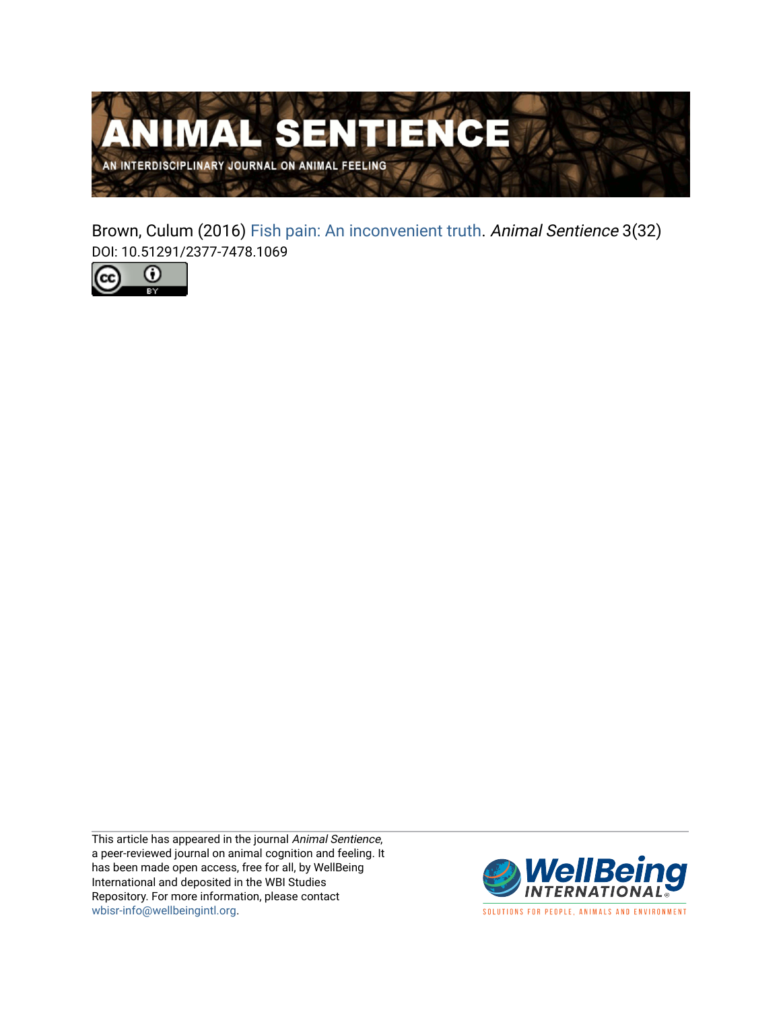

Brown, Culum (2016) [Fish pain: An inconvenient truth.](https://www.wellbeingintlstudiesrepository.org/animsent/vol1/iss3/32) Animal Sentience 3(32) DOI: 10.51291/2377-7478.1069



This article has appeared in the journal Animal Sentience, a peer-reviewed journal on animal cognition and feeling. It has been made open access, free for all, by WellBeing International and deposited in the WBI Studies Repository. For more information, please contact [wbisr-info@wellbeingintl.org](mailto:wbisr-info@wellbeingintl.org).



SOLUTIONS FOR PEOPLE, ANIMALS AND ENVIRONMENT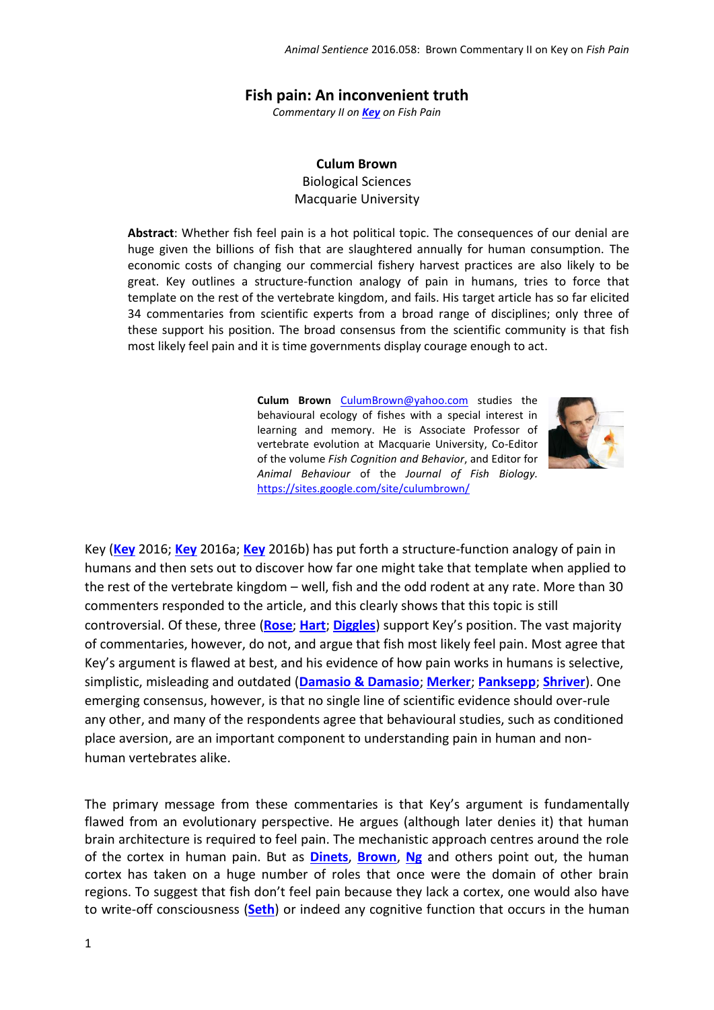## **Fish pain: An inconvenient truth**

*Commentary II on [Key](http://animalstudiesrepository.org/animsent/vol1/iss3/1/) on Fish Pain*

**Culum Brown** Biological Sciences

Macquarie University

**Abstract**: Whether fish feel pain is a hot political topic. The consequences of our denial are huge given the billions of fish that are slaughtered annually for human consumption. The economic costs of changing our commercial fishery harvest practices are also likely to be great. Key outlines a structure-function analogy of pain in humans, tries to force that template on the rest of the vertebrate kingdom, and fails. His target article has so far elicited 34 commentaries from scientific experts from a broad range of disciplines; only three of these support his position. The broad consensus from the scientific community is that fish most likely feel pain and it is time governments display courage enough to act.

> **Culum Brown** [CulumBrown@yahoo.com](mailto:CulumBrown@yahoo.com) studies the behavioural ecology of fishes with a special interest in learning and memory. He is Associate Professor of vertebrate evolution at Macquarie University, Co-Editor of the volume *Fish Cognition and Behavior*, and Editor for *Animal Behaviour* of the *Journal of Fish Biology.*  <https://sites.google.com/site/culumbrown/>



Key (**[Key](http://animalstudiesrepository.org/animsent/vol1/iss3/1/)** 2016; **[Key](http://animalstudiesrepository.org/animsent/vol1/iss3/38/)** 2016a; **[Key](http://animalstudiesrepository.org/animsent/vol1/iss3/39/)** 2016b) has put forth a structure-function analogy of pain in humans and then sets out to discover how far one might take that template when applied to the rest of the vertebrate kingdom – well, fish and the odd rodent at any rate. More than 30 commenters responded to the article, and this clearly shows that this topic is still controversial. Of these, three (**[Rose](http://animalstudiesrepository.org/animsent/vol1/iss3/25/)**; **[Hart](http://animalstudiesrepository.org/animsent/vol1/iss3/9/)**; **[Diggles](http://animalstudiesrepository.org/animsent/vol1/iss3/35/)**) support Key's position. The vast majority of commentaries, however, do not, and argue that fish most likely feel pain. Most agree that Key's argument is flawed at best, and his evidence of how pain works in humans is selective, simplistic, misleading and outdated (**[Damasio & Damasio](http://animalstudiesrepository.org/animsent/vol1/iss3/33/)**; **[Merker](http://animalstudiesrepository.org/animsent/vol1/iss3/23/)**; **[Panksepp](http://animalstudiesrepository.org/animsent/vol1/iss3/24/)**; **[Shriver](http://animalstudiesrepository.org/animsent/vol1/iss3/27/)**). One emerging consensus, however, is that no single line of scientific evidence should over-rule any other, and many of the respondents agree that behavioural studies, such as conditioned place aversion, are an important component to understanding pain in human and nonhuman vertebrates alike.

The primary message from these commentaries is that Key's argument is fundamentally flawed from an evolutionary perspective. He argues (although later denies it) that human brain architecture is required to feel pain. The mechanistic approach centres around the role of the cortex in human pain. But as **[Dinets](http://animalstudiesrepository.org/animsent/vol1/iss3/7/)**, **[Brown](http://animalstudiesrepository.org/animsent/vol1/iss3/5/)**, **[Ng](http://animalstudiesrepository.org/animsent/vol1/iss3/13/)** and others point out, the human cortex has taken on a huge number of roles that once were the domain of other brain regions. To suggest that fish don't feel pain because they lack a cortex, one would also have to write-off consciousness (**[Seth](http://animalstudiesrepository.org/animsent/vol1/iss3/14/)**) or indeed any cognitive function that occurs in the human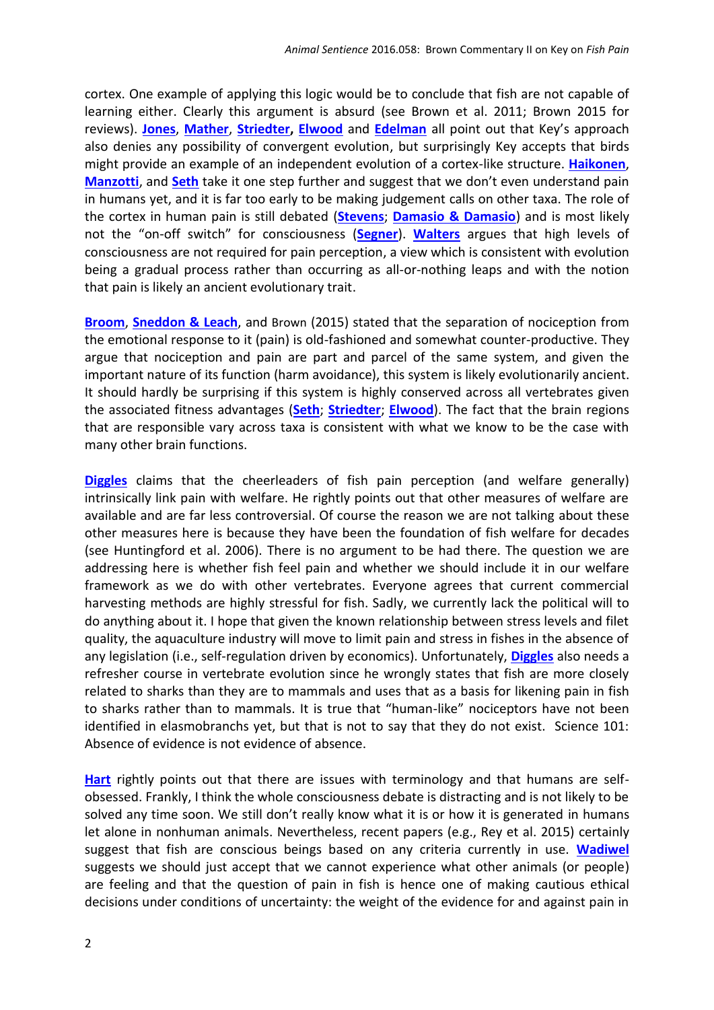cortex. One example of applying this logic would be to conclude that fish are not capable of learning either. Clearly this argument is absurd (see Brown et al. 2011; Brown 2015 for reviews). **[Jones](http://animalstudiesrepository.org/animsent/vol1/iss3/10/)**, **[Mather](http://animalstudiesrepository.org/animsent/vol1/iss3/12/)**, **[Striedter,](http://animalstudiesrepository.org/animsent/vol1/iss3/15/) [Elwood](http://animalstudiesrepository.org/animsent/vol1/iss3/19/)** and **[Edelman](http://animalstudiesrepository.org/animsent/vol1/iss3/36/)** all point out that Key's approach also denies any possibility of convergent evolution, but surprisingly Key accepts that birds might provide an example of an independent evolution of a cortex-like structure. **[Haikonen](http://animalstudiesrepository.org/animsent/vol1/iss3/8/)**, **[Manzotti](http://animalstudiesrepository.org/animsent/vol1/iss3/11/)**, and **[Seth](http://animalstudiesrepository.org/animsent/vol1/iss3/14/)** take it one step further and suggest that we don't even understand pain in humans yet, and it is far too early to be making judgement calls on other taxa. The role of the cortex in human pain is still debated (**[Stevens](http://animalstudiesrepository.org/animsent/vol1/iss3/29/)**; **[Damasio & Damasio](http://animalstudiesrepository.org/animsent/vol1/iss3/33/)**) and is most likely not the "on-off switch" for consciousness (**[Segner](http://animalstudiesrepository.org/animsent/vol1/iss3/26/)**). **[Walters](http://animalstudiesrepository.org/animsent/vol1/iss3/37/)** argues that high levels of consciousness are not required for pain perception, a view which is consistent with evolution being a gradual process rather than occurring as all-or-nothing leaps and with the notion that pain is likely an ancient evolutionary trait.

**[Broom](http://animalstudiesrepository.org/animsent/vol1/iss3/5/)**, **[Sneddon](http://animalstudiesrepository.org/animsent/vol1/iss3/28/) & Leach**, and Brown (2015) stated that the separation of nociception from the emotional response to it (pain) is old-fashioned and somewhat counter-productive. They argue that nociception and pain are part and parcel of the same system, and given the important nature of its function (harm avoidance), this system is likely evolutionarily ancient. It should hardly be surprising if this system is highly conserved across all vertebrates given the associated fitness advantages (**[Seth](http://animalstudiesrepository.org/animsent/vol1/iss3/14/)**; **[Striedter](http://animalstudiesrepository.org/animsent/vol1/iss3/15/)**; **[Elwood](http://animalstudiesrepository.org/animsent/vol1/iss3/19/)**). The fact that the brain regions that are responsible vary across taxa is consistent with what we know to be the case with many other brain functions.

**[Diggles](http://animalstudiesrepository.org/animsent/vol1/iss3/35/)** claims that the cheerleaders of fish pain perception (and welfare generally) intrinsically link pain with welfare. He rightly points out that other measures of welfare are available and are far less controversial. Of course the reason we are not talking about these other measures here is because they have been the foundation of fish welfare for decades (see Huntingford et al. 2006). There is no argument to be had there. The question we are addressing here is whether fish feel pain and whether we should include it in our welfare framework as we do with other vertebrates. Everyone agrees that current commercial harvesting methods are highly stressful for fish. Sadly, we currently lack the political will to do anything about it. I hope that given the known relationship between stress levels and filet quality, the aquaculture industry will move to limit pain and stress in fishes in the absence of any legislation (i.e., self-regulation driven by economics). Unfortunately, **[Diggles](http://animalstudiesrepository.org/animsent/vol1/iss3/35/)** also needs a refresher course in vertebrate evolution since he wrongly states that fish are more closely related to sharks than they are to mammals and uses that as a basis for likening pain in fish to sharks rather than to mammals. It is true that "human-like" nociceptors have not been identified in elasmobranchs yet, but that is not to say that they do not exist. Science 101: Absence of evidence is not evidence of absence.

**[Hart](http://animalstudiesrepository.org/animsent/vol1/iss3/9/)** rightly points out that there are issues with terminology and that humans are selfobsessed. Frankly, I think the whole consciousness debate is distracting and is not likely to be solved any time soon. We still don't really know what it is or how it is generated in humans let alone in nonhuman animals. Nevertheless, recent papers (e.g., Rey et al. 2015) certainly suggest that fish are conscious beings based on any criteria currently in use. **[Wadiwel](http://animalstudiesrepository.org/animsent/vol1/iss3/31/)** suggests we should just accept that we cannot experience what other animals (or people) are feeling and that the question of pain in fish is hence one of making cautious ethical decisions under conditions of uncertainty: the weight of the evidence for and against pain in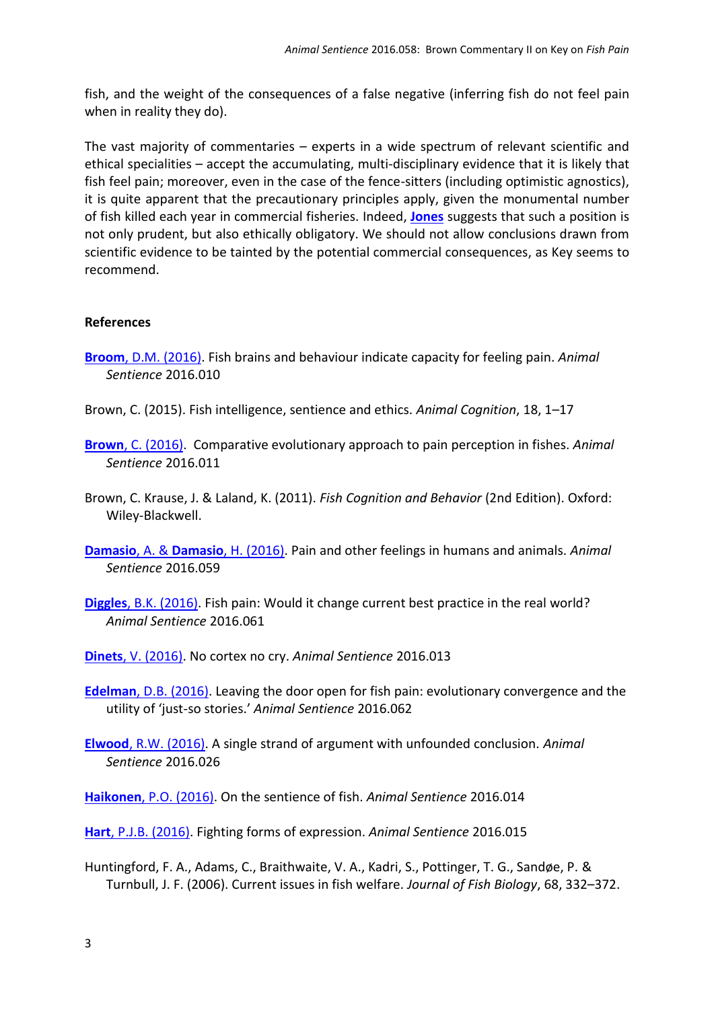fish, and the weight of the consequences of a false negative (inferring fish do not feel pain when in reality they do).

The vast majority of commentaries – experts in a wide spectrum of relevant scientific and ethical specialities – accept the accumulating, multi-disciplinary evidence that it is likely that fish feel pain; moreover, even in the case of the fence-sitters (including optimistic agnostics), it is quite apparent that the precautionary principles apply, given the monumental number of fish killed each year in commercial fisheries. Indeed, **[Jones](http://animalstudiesrepository.org/animsent/vol1/iss3/10/)** suggests that such a position is not only prudent, but also ethically obligatory. We should not allow conclusions drawn from scientific evidence to be tainted by the potential commercial consequences, as Key seems to recommend.

## **References**

- **Broom**[, D.M. \(2016\).](http://animalstudiesrepository.org/animsent/vol1/iss3/5/) Fish brains and behaviour indicate capacity for feeling pain. *Animal Sentience* 2016.010
- Brown, C. (2015). Fish intelligence, sentience and ethics. *Animal Cognition*, 18, 1–17
- **Brown**[, C. \(2016\).](http://animalstudiesrepository.org/animsent/vol1/iss3/5/) Comparative evolutionary approach to pain perception in fishes. *Animal Sentience* 2016.011
- Brown, C. Krause, J. & Laland, K. (2011). *Fish Cognition and Behavior* (2nd Edition). Oxford: Wiley-Blackwell.
- **[Damasio](http://animalstudiesrepository.org/animsent/vol1/iss3/33/)**, A. & **Damasio**, H. (2016). Pain and other feelings in humans and animals. *Animal Sentience* 2016.059
- **Diggles**[, B.K. \(2016\).](http://animalstudiesrepository.org/animsent/vol1/iss3/35/) Fish pain: Would it change current best practice in the real world? *Animal Sentience* 2016.061
- **Dinets**[, V. \(2016\).](http://animalstudiesrepository.org/animsent/vol1/iss3/7/) No cortex no cry. *Animal Sentience* 2016.013
- **Edelman**[, D.B. \(2016\).](http://animalstudiesrepository.org/animsent/vol1/iss3/36/) Leaving the door open for fish pain: evolutionary convergence and the utility of 'just-so stories.' *Animal Sentience* 2016.062
- **Elwood**[, R.W. \(2016\).](http://animalstudiesrepository.org/animsent/vol1/iss3/19/) A single strand of argument with unfounded conclusion. *Animal Sentience* 2016.026
- **Haikonen**[, P.O. \(2016\).](http://animalstudiesrepository.org/animsent/vol1/iss3/8/) On the sentience of fish. *Animal Sentience* 2016.014
- **Hart**[, P.J.B. \(2016\).](http://animalstudiesrepository.org/animsent/vol1/iss3/9/) Fighting forms of expression. *Animal Sentience* 2016.015
- Huntingford, F. A., Adams, C., Braithwaite, V. A., Kadri, S., Pottinger, T. G., Sandøe, P. & Turnbull, J. F. (2006). Current issues in fish welfare. *Journal of Fish Biology*, 68, 332–372.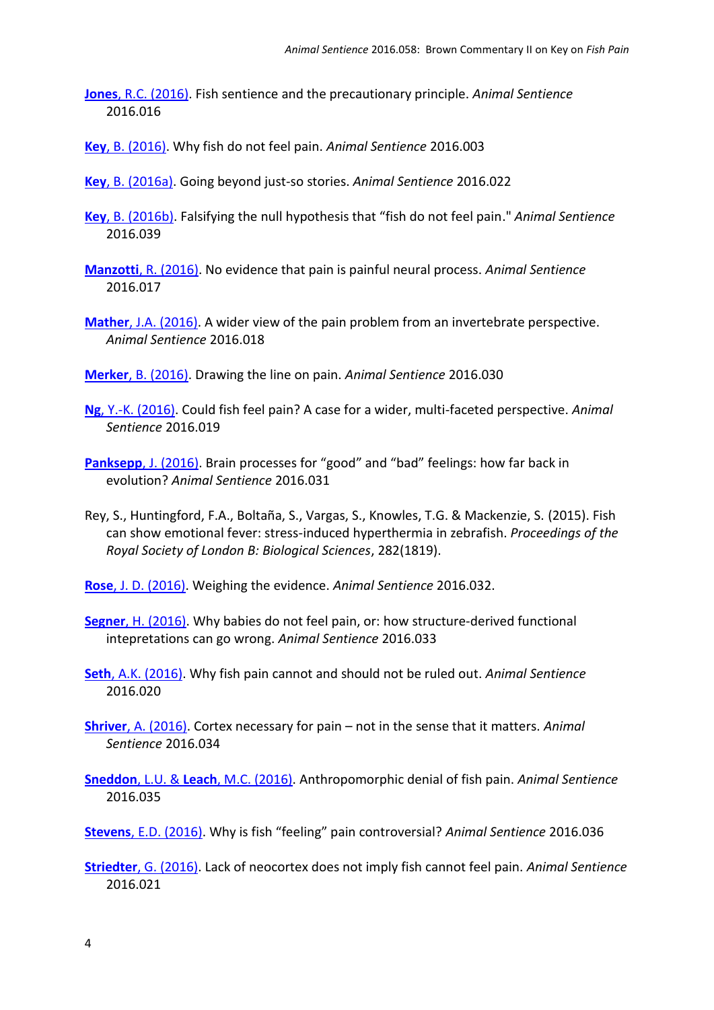- **Jones**[, R.C. \(2016\).](http://animalstudiesrepository.org/animsent/vol1/iss3/10/) Fish sentience and the precautionary principle. *Animal Sentience* 2016.016
- **Key**[, B. \(2016\).](http://animalstudiesrepository.org/animsent/vol1/iss3/1/) Why fish do not feel pain. *Animal Sentience* 2016.003
- **Key**, B. [\(2016a\).](http://animalstudiesrepository.org/animsent/vol1/iss3/38/) Going beyond just-so stories. *Animal Sentience* 2016.022
- **Key**, B. [\(2016b\).](http://animalstudiesrepository.org/animsent/vol1/iss3/39/) Falsifying the null hypothesis that "fish do not feel pain." *Animal Sentience* 2016.039
- **Manzotti**[, R. \(2016\).](http://animalstudiesrepository.org/animsent/vol1/iss3/11/) No evidence that pain is painful neural process. *Animal Sentience* 2016.017
- **Mather**[, J.A. \(2016\).](http://animalstudiesrepository.org/animsent/vol1/iss3/12/) A wider view of the pain problem from an invertebrate perspective. *Animal Sentience* 2016.018
- **Merker**[, B. \(2016\).](http://animalstudiesrepository.org/animsent/vol1/iss3/23/) Drawing the line on pain. *Animal Sentience* 2016.030
- **Ng**[, Y.-K. \(2016\).](http://animalstudiesrepository.org/animsent/vol1/iss3/13/) Could fish feel pain? A case for a wider, multi-faceted perspective. *Animal Sentience* 2016.019
- **Panksepp**[, J. \(2016\).](http://animalstudiesrepository.org/animsent/vol1/iss3/24/) Brain processes for "good" and "bad" feelings: how far back in evolution? *Animal Sentience* 2016.031
- Rey, S., Huntingford, F.A., Boltaña, S., Vargas, S., Knowles, T.G. & Mackenzie, S. (2015). Fish can show emotional fever: stress-induced hyperthermia in zebrafish. *Proceedings of the Royal Society of London B: Biological Sciences*, 282(1819).
- **Rose**[, J. D. \(2016\).](http://animalstudiesrepository.org/animsent/vol1/iss3/25/) Weighing the evidence. *Animal Sentience* 2016.032.
- **Segner**[, H. \(2016\).](http://animalstudiesrepository.org/animsent/vol1/iss3/26/) Why babies do not feel pain, or: how structure-derived functional intepretations can go wrong. *Animal Sentience* 2016.033
- **Seth**[, A.K. \(2016\).](http://animalstudiesrepository.org/animsent/vol1/iss3/14/) Why fish pain cannot and should not be ruled out. *Animal Sentience* 2016.020
- **Shriver**[, A. \(2016\).](http://animalstudiesrepository.org/animsent/vol1/iss3/27/) Cortex necessary for pain not in the sense that it matters. *Animal Sentience* 2016.034
- **Sneddon**, L.U. & **Leach**[, M.C. \(2016\).](http://animalstudiesrepository.org/animsent/vol1/iss3/28/) Anthropomorphic denial of fish pain. *Animal Sentience* 2016.035
- **Stevens**[, E.D. \(2016\).](http://animalstudiesrepository.org/animsent/vol1/iss3/29/) Why is fish "feeling" pain controversial? *Animal Sentience* 2016.036
- **Striedter**[, G. \(2016\).](http://animalstudiesrepository.org/animsent/vol1/iss3/15/) Lack of neocortex does not imply fish cannot feel pain. *Animal Sentience* 2016.021